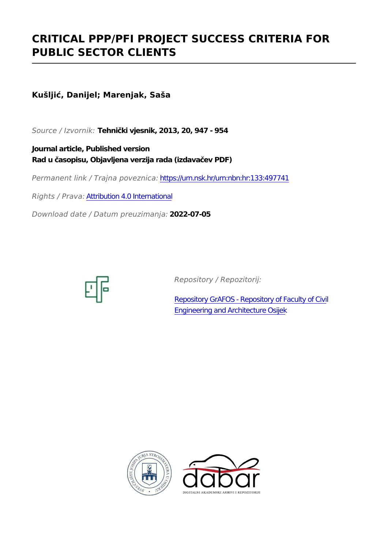# **CRITICAL PPP/PFI PROJECT SUCCESS CRITERIA FOR PUBLIC SECTOR CLIENTS**

# **Kušljić, Danijel; Marenjak, Saša**

*Source / Izvornik:* **Tehnički vjesnik, 2013, 20, 947 - 954**

**Journal article, Published version Rad u časopisu, Objavljena verzija rada (izdavačev PDF)**

*Permanent link / Trajna poveznica:* <https://urn.nsk.hr/urn:nbn:hr:133:497741>

*Rights / Prava:* [Attribution 4.0 International](http://creativecommons.org/licenses/by/4.0/)

*Download date / Datum preuzimanja:* **2022-07-05**



*Repository / Repozitorij:*

[Repository GrAFOS - Repository of Faculty of Civi](https://repozitorij.gfos.hr)l [Engineering and Architecture Osijek](https://repozitorij.gfos.hr)



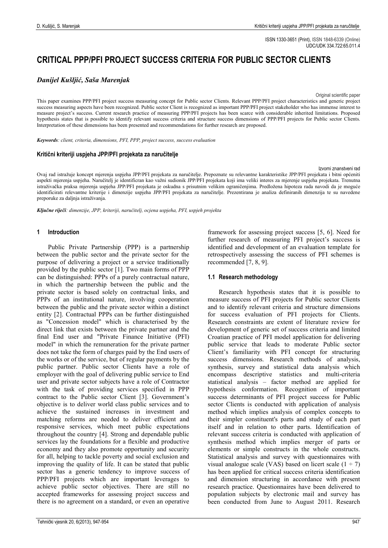ISSN 1330-3651 (Print), ISSN 1848-6339 (Online) UDC/UDK 334.722:65.011.4

# **CRITICAL PPP/PFI PROJECT SUCCESS CRITERIA FOR PUBLIC SECTOR CLIENTS**

# *Danijel Kušljić, Saša Marenjak*

Original scientific paper

This paper examines PPP/PFI project success measuring concept for Public sector Clients. Relevant PPP/PFI project characteristics and generic project success measuring aspects have been recognized. Public sector Client is recognized as important PPP/PFI project stakeholder who has immense interest to measure project's success. Current research practice of measuring PPP/PFI projects has been scarce with considerable inherited limitations. Proposed hypothesis states that is possible to identify relevant success criteria and structure success dimensions of PPP/PFI projects for Public sector Clients. Interpretation of these dimensions has been presented and recommendations for further research are proposed.

*Keywords: client, criteria, dimensions, PFI, PPP, project success, success evaluation*

#### **Kritični kriteriji uspjeha JPP/PFI projekata za naručitelje**

Izvorni znanstveni rad

Ovaj rad istražuje koncept mjerenja uspjeha JPP/PFI projekata za naručitelje. Prepoznate su relevantne karakteristike JPP/PFI projekata i bitni općeniti aspekti mjerenja uspjeha. Naručitelj je identificran kao važni sudionik JPP/PFI projekata koji ima veliki interes za mjerenje uspjeha projekata. Trenutna istraživačka praksa mjerenja uspjeha JPP/PFI projekata je oskudna s prisutnim velikim ograničenjima. Predložena hipoteza rada navodi da je moguće identificirati relevantne kriterije i dimenzije uspjeha JPP/PFI projekata za naručitelje. Prezentirana je analiza definiranih dimenzija te su navedene preporuke za daljnja istraživanja.

*Ključne riječi: dimenzije, JPP, kriteriji, naručitelj, ocjena uspjeha, PFI, uspjeh projekta*

#### **1 Introduction**

Public Private Partnership (PPP) is a partnership between the public sector and the private sector for the purpose of delivering a project or a service traditionally provided by the public sector [1]. Two main forms of PPP can be distinguished: PPPs of a purely contractual nature, in which the partnership between the public and the private sector is based solely on contractual links, and PPPs of an institutional nature, involving cooperation between the public and the private sector within a distinct entity [2]. Contractual PPPs can be further distinguished as "Concession model" which is characterised by the direct link that exists between the private partner and the final End user and "Private Finance Initiative (PFI) model" in which the remuneration for the private partner does not take the form of charges paid by the End users of the works or of the service, but of regular payments by the public partner. Public sector Clients have a role of employer with the goal of delivering public service to End user and private sector subjects have a role of Contractor with the task of providing services specified in PPP contract to the Public sector Client [3]. Government's objective is to deliver world class public services and to achieve the sustained increases in investment and matching reforms are needed to deliver efficient and responsive services, which meet public expectations throughout the country [4]. Strong and dependable public services lay the foundations for a flexible and productive economy and they also promote opportunity and security for all, helping to tackle poverty and social exclusion and improving the quality of life. It can be stated that public sector has a generic tendency to improve success of PPP/PFI projects which are important leverages to achieve public sector objectives. There are still no accepted frameworks for assessing project success and there is no agreement on a standard, or even an operative

identified and development of an evaluation template for retrospectively assessing the success of PFI schemes is recommended [7, 8, 9]. **1.1 Research methodology**

framework for assessing project success [5, 6]. Need for further research of measuring PFI project's success is

Research hypothesis states that it is possible to measure success of PFI projects for Public sector Clients and to identify relevant criteria and structure dimensions for success evaluation of PFI projects for Clients. Research constraints are extent of literature review for development of generic set of success criteria and limited Croatian practice of PFI model application for delivering public service that leads to moderate Public sector Client's familiarity with PFI concept for structuring success dimensions. Research methods of analysis, synthesis, survey and statistical data analysis which encompass descriptive statistics and multi-criteria statistical analysis – factor method are applied for hypothesis conformation. Recognition of important success determinants of PFI project success for Public sector Clients is conducted with application of analysis method which implies analysis of complex concepts to their simpler constituent's parts and study of each part itself and in relation to other parts. Identification of relevant success criteria is conducted with application of synthesis method which implies merger of parts or elements or simple constructs in the whole constructs. Statistical analysis and survey with questionnaires with visual analogue scale (VAS) based on licert scale  $(1 \div 7)$ has been applied for critical success criteria identification and dimension structuring in accordance with present research practice. Questionnaires have been delivered to population subjects by electronic mail and survey has been conducted from June to August 2011. Research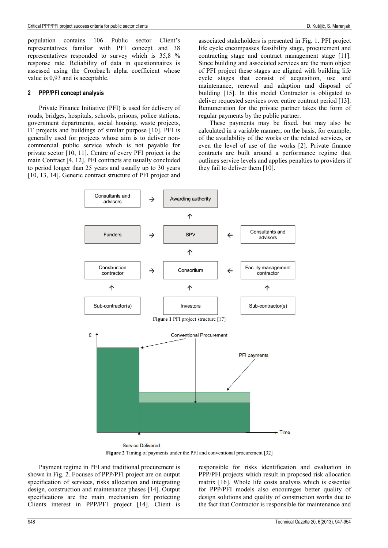population contains 106 Public sector Client's representatives familiar with PFI concept and 38 representatives responded to survey which is 35,8 % response rate. Reliability of data in questionnaires is assessed using the Cronbac'h alpha coefficient whose value is 0,93 and is acceptable.

#### **2 PPP/PFI concept analysis**

Private Finance Initiative (PFI) is used for delivery of roads, bridges, hospitals, schools, prisons, police stations, government departments, social housing, waste projects, IT projects and buildings of similar purpose [10]. PFI is generally used for projects whose aim is to deliver noncommercial public service which is not payable for private sector [10, 11]. Centre of every PFI project is the main Contract [4, 12]. PFI contracts are usually concluded to period longer than 25 years and usually up to 30 years [10, 13, 14]. Generic contract structure of PFI project and

associated stakeholders is presented in Fig. 1. PFI project life cycle encompasses feasibility stage, procurement and contracting stage and contract management stage [11]. Since building and associated services are the main object of PFI project these stages are aligned with building life cycle stages that consist of acquisition, use and maintenance, renewal and adaption and disposal of building [15]. In this model Contractor is obligated to deliver requested services over entire contract period [13]. Remuneration for the private partner takes the form of regular payments by the public partner.

These payments may be fixed, but may also be calculated in a variable manner, on the basis, for example, of the availability of the works or the related services, or even the level of use of the works [2]. Private finance contracts are built around a performance regime that outlines service levels and applies penalties to providers if they fail to deliver them [10].



Payment regime in PFI and traditional procurement is shown in Fig. 2. Focuses of PPP/PFI project are on output specification of services, risks allocation and integrating design, construction and maintenance phases [14]. Output specifications are the main mechanism for protecting Clients interest in PPP/PFI project [14]. Client is

responsible for risks identification and evaluation in PPP/PFI projects which result in proposed risk allocation matrix [16]. Whole life costs analysis which is essential for PPP/PFI models also encourages better quality of design solutions and quality of construction works due to the fact that Contractor is responsible for maintenance and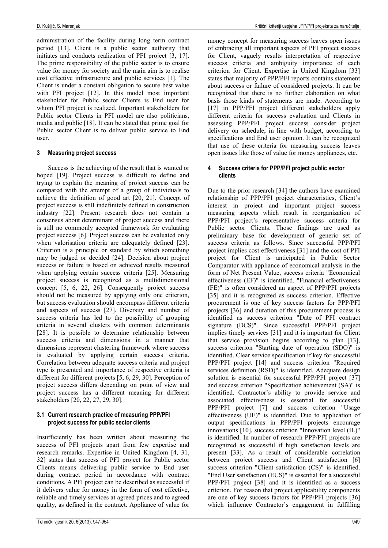administration of the facility during long term contract period [13]. Client is a public sector authority that initiates and conducts realization of PFI project [3, 17]. The prime responsibility of the public sector is to ensure value for money for society and the main aim is to realise cost effective infrastructure and public services [1]. The Client is under a constant obligation to secure best value with PFI project [12]. In this model most important stakeholder for Public sector Clients is End user for whom PFI project is realized. Important stakeholders for Public sector Clients in PFI model are also politicians, media and public [18]. It can be stated that prime goal for Public sector Client is to deliver public service to End user.

### **3 Measuring project success**

Success is the achieving of the result that is wanted or hoped [19]. Project success is difficult to define and trying to explain the meaning of project success can be compared with the attempt of a group of individuals to achieve the definition of good art [20, 21]. Concept of project success is still indefinitely defined in construction industry [22]. Present research does not contain a consensus about determinant of project success and there is still no commonly accepted framework for evaluating project success [6]. Project success can be evaluated only when valorisation criteria are adequately defined [23]. Criterion is a principle or standard by which something may be judged or decided [24]. Decision about project success or failure is based on achieved results measured when applying certain success criteria [25]. Measuring project success is recognized as a multidimensional concept [5, 6, 22, 26]. Consequently project success should not be measured by applying only one criterion, but success evaluation should encompass different criteria and aspects of success [27]. Diversity and number of success criteria has led to the possibility of grouping criteria in several clusters with common determinants [28]. It is possible to determine relationship between success criteria and dimensions in a manner that dimensions represent clustering framework where success is evaluated by applying certain success criteria. Correlation between adequate success criteria and project type is presented and importance of respective criteria is different for different projects [5, 6, 29, 30]. Perception of project success differs depending on point of view and project success has a different meaning for different stakeholders [20, 22, 27, 29, 30].

### **3.1 Current research practice of measuring PPP/PFI project success for public sector clients**

Insufficiently has been written about measuring the success of PFI projects apart from few expertise and research remarks. Expertise in United Kingdom [4, 31, 32] states that success of PFI project for Public sector Clients means delivering public service to End user during contract period in accordance with contract conditions, A PFI project can be described as successful if it delivers value for money in the form of cost effective, reliable and timely services at agreed prices and to agreed quality, as defined in the contract. Appliance of value for

money concept for measuring success leaves open issues of embracing all important aspects of PFI project success for Client, vaguely results interpretation of respective success criteria and ambiguity importance of each criterion for Client. Expertise in United Kingdom [33] states that majority of PPP/PFI reports contains statement about success or failure of considered projects. It can be recognized that there is no further elaboration on what basis those kinds of statements are made. According to [17] in PPP/PFI project different stakeholders apply different criteria for success evaluation and Clients in assessing PPP/PFI project success consider project delivery on schedule, in line with budget, according to specifications and End user opinion. It can be recognized that use of these criteria for measuring success leaves open issues like those of value for money appliances, etc.

#### **4 Success criteria for PPP/PFI project public sector clients**

Due to the prior research [34] the authors have examined relationship of PPP/PFI project characteristics, Client's interest in project and important project success measuring aspects which result in reorganization of PPP/PFI project's representative success criteria for Public sector Clients. Those findings are used as preliminary base for development of generic set of success criteria as follows. Since successful PPP/PFI project implies cost effectiveness [31] and the cost of PFI project for Client is anticipated in Public Sector Comparator with appliance of economical analysis in the form of Net Present Value, success criteria "Economical effectiveness (EF)" is identified. "Financial effectiveness (FE)" is often considered an aspect of PPP/PFI projects [35] and it is recognized as success criterion. Effective procurement is one of key success factors for PPP/PFI projects [36] and duration of this procurement process is identified as success criterion "Date of PFI contract signature (DCS)". Since successful PPP/PFI project implies timely services [31] and it is important for Client that service provision begins according to plan [13], success criterion "Starting date of operation (SDO)" is identified. Clear service specification if key for successful PPP/PFI project [14] and success criterion "Required services definition (RSD)" is identified. Adequate design solution is essential for successful PPP/PFI project [37] and success criterion "Specification achievement (SA)" is identified. Contractor's ability to provide service and associated effectiveness is essential for successful PPP/PFI project [7] and success criterion "Usage effectiveness (UE)" is identified. Due to application of output specifications in PPP/PFI projects encourage innovations [10], success criterion "Innovation level (IL)" is identified. In number of research PPP/PFI projects are recognized as successful if high satisfaction levels are present [33]. As a result of considerable correlation between project success and Client satisfaction [6] success criterion "Client satisfaction (CS)" is identified. "End User satisfaction (EUS)" is essential for a successful PPP/PFI project [38] and it is identified as a success criterion. For reason that project applicability components are one of key success factors for PPP/PFI projects [36] which influence Contractor's engagement in fulfilling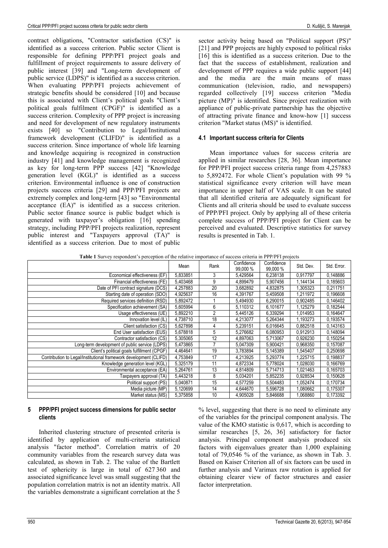contract obligations, "Contractor satisfaction (CS)" is identified as a success criterion. Public sector Client is responsible for defining PPP/PFI project goals and fulfillment of project requirements to assure delivery of public interest [39] and "Long-term development of public service (LDPS)" is identified as a success criterion. When evaluating PPP/PFI projects achievement of strategic benefits should be considered [10] and because this is associated with Client's political goals "Client's political goals fulfilment (CPGF)" is identified as a success criterion. Complexity of PPP project is increasing and need for development of new regulatory instruments exists [40] so "Contribution to Legal/Institutional framework development (CLIFD)" is identified as a success criterion. Since importance of whole life learning and knowledge acquiring is recognized in construction industry [41] and knowledge management is recognized as key for long-term PPP success [42] "Knowledge generation level (KGL)" is identified as a success criterion. Environmental influence is one of construction projects success criteria [29] and PPP/PFI projects are extremely complex and long-term [43] so "Environmental acceptance (EA)" is identified as a success criterion. Public sector finance source is public budget which is generated with taxpayer's obligation [16] spending strategy, including PPP/PFI projects realization, represent public interest and "Taxpayers approval (TA)" is identified as a success criterion. Due to most of public

sector activity being based on "Political support (PS)" [21] and PPP projects are highly exposed to political risks [16] this is identified as a success criterion. Due to the fact that the success of establishment, realization and development of PPP requires a wide public support [44] and the media are the main means of mass communication (television, radio, and newspapers) regarded collectively [19] success criterion "Media picture (MP)" is identified. Since project realization with appliance of public-private partnership has the objective of attracting private finance and know-how [1] success criterion "Market status (MS)" is identified.

# **4.1 Important success criteria for Clients**

Mean importance values for success criteria are applied in similar researches [28, 36]. Mean importance for PPP/PFI project success criteria range from 4,257883 to 5,892472. For whole Client's population with 99 % statistical significance every criterion will have mean importance in upper half of VAS scale. It can be stated that all identified criteria are adequately significant for Clients and all criteria should be used to evaluate success of PPP/PFI project. Only by applying all of these criteria complete success of PPP/PFI project for Client can be perceived and evaluated. Descriptive statistics for survey results is presented in Tab. 1.

|                                                                   | Mean     | Rank | Confidence<br>99,000 % | Confidence<br>99,000 % | Std. Dev. | Std. Error. |
|-------------------------------------------------------------------|----------|------|------------------------|------------------------|-----------|-------------|
| Economical effectiveness (EF)                                     | 5.833851 | 3    | 5,429564               | 6.238138               | 0.917797  | 0,148886    |
| Financial effectiveness (FE)                                      | 5,403468 | 9    | 4,899479               | 5,907456               | 1,144134  | 0,185603    |
| Date of PFI contract signature (DCS)                              | 4,257883 | 20   | 3.682892               | 4.832875               | 1,305323  | 0.211751    |
| Starting date of operation (SDO)                                  | 4,925637 | 16   | 4,391767               | 5,459508               | 1,211972  | 0.196608    |
| Required services definition (RSD)                                | 5.892472 |      | 5,494930               | 6,290015               | 0,902485  | 0,146402    |
| Specification achievement (SA)                                    | 5,605994 | 6    | 5,110312               | 6,101677               | 1,125279  | 0,182544    |
| Usage effectiveness (UE)                                          | 5.892210 |      | 5.445126               | 6,339294               | 1.014953  | 0,164647    |
| Innovation level (IL)                                             | 4,738710 | 18   | 4.213077               | 5,264344               | 1.193273  | 0,193574    |
| Client satisfaction (CS)                                          | 5,627898 |      | 5,239151               | 6.016645               | 0,882518  | 0,143163    |
| End User satisfaction (EUS)                                       | 5,678818 | 5    | 5,276682               | 6,080953               | 0,912913  | 0,148094    |
| Contractor satisfaction (CS)                                      | 5,305065 | 12   | 4,897063               | 5.713067               | 0,926230  | 0,150254    |
| Long-term development of public service (LDPS)                    | 5,473865 |      | 5.047309               | 5.900421               | 0.968350  | 0,157087    |
| Client's political goals fulfillment (CPGF)                       | 4,464641 | 19   | 3,783894               | 5,145389               | 1,545407  | 0,250698    |
| Contribution to Legal/Institutional framework development (CLIFD) | 4,753849 | 17   | 4,213925               | 5,293774               | ,225715   | 0,198837    |
| Knowledge generation level (KGL)                                  | 5.325179 | 11   | 4.872334               | 5.778024               | 1.028030  | 0,166769    |
| Environmental acceptance (EA)                                     | 5,264761 | 13   | 4.814809               | 5,714713               | 1,021463  | 0,165703    |
| Taxpayers approval (TA)                                           | 5,443218 | 8    | 5.034201               | 5.852235               | 0,928534  | 0,150628    |
| Political support (PS)                                            | 5,040871 | 15   | 4,577259               | 5,504483               | 1.052474  | 0,170734    |
| Media picture (MP)                                                | 5,120699 | 14   | 4,644670               | 5,596728               | 1,080662  | 0,175307    |
| Market status (MS)                                                | 5,375858 | 10   | 4,905028               | 5,846688               | 1,068860  | 0,173392    |

**Table 1** Survey respondent's perception of the relative importance of success criteria in PPP/PFI projects

# **5 PPP/PFI project success dimensions for public sector clients**

Inherited clustering structure of presented criteria is identified by application of multi-criteria statistical analysis "factor method". Correlation matrix of 20 community variables from the research survey data was calculated, as shown in Tab. 2. The value of the Bartlett test of sphericity is large in total of 627.360 and associated significance level was small suggesting that the population correlation matrix is not an identity matrix. All the variables demonstrate a significant correlation at the 5

% level, suggesting that there is no need to eliminate any of the variables for the principal component analysis. The value of the KMO statistic is 0,617, which is according to similar researches [5, 26, 36] satisfactory for factor analysis. Principal component analysis produced six factors with eigenvalues greater than 1,000 explaining total of 79,0546 % of the variance, as shown in Tab. 3. Based on Kaiser Criterion all of six factors can be used in further analysis and Varimax raw rotation is applied for obtaining clearer view of factor structures and easier factor interpretation.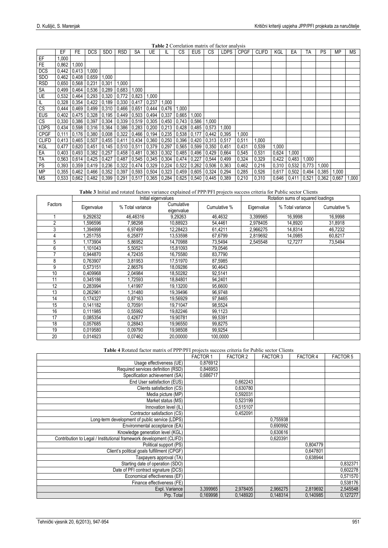| <b>Table 2</b> Correlation matrix of factor analysis |
|------------------------------------------------------|
|------------------------------------------------------|

|              | <b>Table 4</b> Correlation matrix of factor analysis |             |                                                                     |                                      |            |                     |       |               |           |                         |                    |             |             |              |       |       |                    |           |       |           |
|--------------|------------------------------------------------------|-------------|---------------------------------------------------------------------|--------------------------------------|------------|---------------------|-------|---------------|-----------|-------------------------|--------------------|-------------|-------------|--------------|-------|-------|--------------------|-----------|-------|-----------|
|              | EF                                                   | FE          | <b>DCS</b>                                                          | <b>SDO</b>                           | <b>RSD</b> | SA                  | UE    | IL.           | <b>CS</b> | <b>EUS</b>              | CS                 | <b>LDPS</b> | <b>CPGF</b> | <b>CLIFD</b> | KGL   | EA    | TA                 | <b>PS</b> | ΜP    | <b>MS</b> |
| EF           | 1,000                                                |             |                                                                     |                                      |            |                     |       |               |           |                         |                    |             |             |              |       |       |                    |           |       |           |
| <b>FE</b>    | 0,862                                                | 1,000       |                                                                     |                                      |            |                     |       |               |           |                         |                    |             |             |              |       |       |                    |           |       |           |
| <b>DCS</b>   | 0,442                                                | 0,413       | 1,000                                                               |                                      |            |                     |       |               |           |                         |                    |             |             |              |       |       |                    |           |       |           |
| <b>SDO</b>   | 0.462                                                |             | 0,408 0.659                                                         | 1,000                                |            |                     |       |               |           |                         |                    |             |             |              |       |       |                    |           |       |           |
| <b>RSD</b>   | 0,650                                                | 0,568       | 0,231                                                               | 0,301                                | 1,000      |                     |       |               |           |                         |                    |             |             |              |       |       |                    |           |       |           |
| SA           | 0.499                                                |             | $0,464$ 0,536                                                       | 0,289                                | 0,683      | 1,000               |       |               |           |                         |                    |             |             |              |       |       |                    |           |       |           |
| UE           | 0,532                                                |             | $0,464$   0,293   0,320   0,772                                     |                                      |            | $0,823$ 1,000       |       |               |           |                         |                    |             |             |              |       |       |                    |           |       |           |
| IL           | 0,328                                                |             | $0.354$   0.422   0.189   0.330                                     |                                      |            | 0,417               | 0,237 | 1,000         |           |                         |                    |             |             |              |       |       |                    |           |       |           |
| CS           | 0,444                                                |             | 0,469 0,499 0,310 0,466 0,651 0,444                                 |                                      |            |                     |       | 0,476         | 1,000     |                         |                    |             |             |              |       |       |                    |           |       |           |
| <b>EUS</b>   | 0.402                                                |             | $\mid 0.475 \mid 0.328 \mid 0.195 \mid 0.449 \mid 0.503 \mid 0.494$ |                                      |            |                     |       | 0,337         | 0,665     | 1,000                   |                    |             |             |              |       |       |                    |           |       |           |
| CS           | 0,330                                                |             | 0,386 0,397 0,304 0,339 0,519 0,305 0,450 0,743                     |                                      |            |                     |       |               |           | 0,586                   | 1,000              |             |             |              |       |       |                    |           |       |           |
| LDPS         | 0,434                                                |             | $0,598$ $0,316$ $0,364$ $0,386$                                     |                                      |            | $0,283$ 0,200       |       | 0,213         | 0,428     | 0,485                   | 0,573              | 1,000       |             |              |       |       |                    |           |       |           |
| <b>CPGF</b>  | 0.111                                                |             | $0,176$ 0.380                                                       | $0,008$ 0.322                        |            | 0,466 0,194         |       | $0.235$ 0.538 |           | 0,177                   | 0,442              | 0,395       | 1,000       |              |       |       |                    |           |       |           |
| <b>CLIFD</b> | 0.413                                                |             | 0,465 0,507                                                         | 0,455 0,411 0,434 0,360 0,250 0,396  |            |                     |       |               |           | 0,420                   | $0.313 \mid 0.517$ |             | 0,511       | 1,000        |       |       |                    |           |       |           |
| KGL          | 0,477                                                | 0,620 0,451 |                                                                     | 0.145 0.510 0.511 0.379              |            |                     |       | 0,297         | 0,565     | $0.599$ $0.350$ $0.451$ |                    |             | 0,431       | 0,539        | 1,000 |       |                    |           |       |           |
| EA           | 0,403                                                |             | 0,493 0,382                                                         | $0,257$ 0,458                        |            | $0,481$ 0,363       |       | 0,302         | 0,485     | 0,496                   | 0,429              | 0,664       | 0,545       | 0,531        | 0,624 | 1,000 |                    |           |       |           |
| <b>TA</b>    | 0.563                                                |             | $0.614$ 0.425                                                       | 0,427                                | 0,487      | $0,545$ 0,345 0,304 |       |               | 0,474     | 0,227                   | 0,544              | 0,499       | 0,324       | 0,329        | 0,422 | 0,483 | 1,000              |           |       |           |
| <b>PS</b>    | 0,393                                                |             | 0,359   0,419   0,236   0,322   0,474   0,329   0,224   0,522       |                                      |            |                     |       |               |           | $0.262$ $0.506$ $0.363$ |                    |             | 0,462       | 0,216        | 0,310 |       | $0,532 \mid 0,773$ | 1,000     |       |           |
| MP           | 0,355                                                |             | 0,462 0,466                                                         | $\mid$ 0,352   0,397   0,593   0,504 |            |                     |       | 0,323         | 0,459     | 0,605                   | 0,324              | 0,294       | 0,285       | 0,526        | 0,617 | 0,502 | 0,494              | 0,385     | 1,000 |           |
| ΜS           | 0,533                                                |             | 0,662 0,482 0,399 0,291 0,517 0,365 0,284                           |                                      |            |                     |       |               | 0,625     | 0,540                   | $0,445$ 0.389      |             | 0,210       | 0,310        | 0,646 | 0,411 | 0,521              | 0,362     | 0,667 | 1,000     |

**Table 3** Initial and rotated factors variance explained of PPP/PFI projects success criteria for Public sector Clients

|                |            | Initial eigenvalues |                          | Rotation sums of squared loadings |            |                  |              |  |  |  |
|----------------|------------|---------------------|--------------------------|-----------------------------------|------------|------------------|--------------|--|--|--|
| Factors        | Eigenvalue | % Total variance    | Cumulative<br>eigenvalue | Cumulative %                      | Eigenvalue | % Total variance | Cumulative % |  |  |  |
|                | 9.292632   | 46,46316            | 9.29263                  | 46.4632                           | 3.399965   | 16,9998          | 16,9998      |  |  |  |
| $\overline{2}$ | .596596    | 7.98298             | 10.88923                 | 54,4461                           | 2,978405   | 14,8920          | 31,8918      |  |  |  |
| 3              | 1,394998   | 6,97499             | 12,28423                 | 61,4211                           | 2,966275   | 14,8314          | 46,7232      |  |  |  |
| 4              | 1,251755   | 6,25877             | 13,53598                 | 67,6799                           | 2,819692   | 14,0985          | 60,8217      |  |  |  |
| 5              | 1.173904   | 5.86952             | 14.70988                 | 73,5494                           | 2,545548   | 12,7277          | 73,5494      |  |  |  |
| 6              | 1,101043   | 5,50521             | 15,81093                 | 79,0546                           |            |                  |              |  |  |  |
| 7              | 0.944870   | 4.72435             | 16.75580                 | 83,7790                           |            |                  |              |  |  |  |
| 8              | 0.763907   | 3.81953             | 17.51970                 | 87,5985                           |            |                  |              |  |  |  |
| 9              | 0.573151   | 2,86576             | 18,09286                 | 90,4643                           |            |                  |              |  |  |  |
| 10             | 0,409968   | 2.04984             | 18,50282                 | 92,5141                           |            |                  |              |  |  |  |
| 11             | 0,345186   | 1,72593             | 18,84801                 | 94,2401                           |            |                  |              |  |  |  |
| 12             | 0,283994   | 1,41997             | 19,13200                 | 95,6600                           |            |                  |              |  |  |  |
| 13             | 0,262961   | 1.31480             | 19,39496                 | 96,9748                           |            |                  |              |  |  |  |
| 14             | 0,174327   | 0.87163             | 19,56929                 | 97,8465                           |            |                  |              |  |  |  |
| 15             | 0.141182   | 0.70591             | 19.71047                 | 98,5524                           |            |                  |              |  |  |  |
| 16             | 0.111985   | 0.55992             | 19.82246                 | 99,1123                           |            |                  |              |  |  |  |
| 17             | 0,085354   | 0.42677             | 19,90781                 | 99,5391                           |            |                  |              |  |  |  |
| 18             | 0.057685   | 0.28843             | 19.96550                 | 99,8275                           |            |                  |              |  |  |  |
| 19             | 0,019580   | 0,09790             | 19,98508                 | 99,9254                           |            |                  |              |  |  |  |
| 20             | 0,014923   | 0,07462             | 20,00000                 | 100,0000                          |            |                  |              |  |  |  |

**Table 4** Rotated factor matrix of PPP/PFI projects success criteria for Public sector Clients

|                                                                     | <b>FACTOR 1</b> | <b>FACTOR 2</b> | <b>FACTOR 3</b> | <b>FACTOR 4</b> | <b>FACTOR 5</b> |
|---------------------------------------------------------------------|-----------------|-----------------|-----------------|-----------------|-----------------|
| Usage effectiveness (UE)                                            | 0,876912        |                 |                 |                 |                 |
| Required services definition (RSD)                                  | 0,846953        |                 |                 |                 |                 |
| Specification achievement (SA)                                      | 0,686717        |                 |                 |                 |                 |
| End User satisfaction (EUS)                                         |                 | 0,662243        |                 |                 |                 |
| Clients satisfaction (CS)                                           |                 | 0,630780        |                 |                 |                 |
| Media picture (MP)                                                  |                 | 0,592031        |                 |                 |                 |
| Market status (MS)                                                  |                 | 0,523199        |                 |                 |                 |
| Innovation level (IL)                                               |                 | 0,515107        |                 |                 |                 |
| Contractor satisfaction (CS)                                        |                 | 0,452091        |                 |                 |                 |
| Long-term development of public service (LDPS)                      |                 |                 | 0,755938        |                 |                 |
| Environmental acceptance (EA)                                       |                 |                 | 0,690992        |                 |                 |
| Knowledge generation level (KGL)                                    |                 |                 | 0,630616        |                 |                 |
| Contribution to Legal / Institutional framework development (CLIFD) |                 |                 | 0,620391        |                 |                 |
| Political support (PS)                                              |                 |                 |                 | 0,804779        |                 |
| Client's political goals fulfillment (CPGF)                         |                 |                 |                 | 0,647801        |                 |
| Taxpayers approval (TA)                                             |                 |                 |                 | 0.638944        |                 |
| Starting date of operation (SDO)                                    |                 |                 |                 |                 | 0,832371        |
| Date of PFI contract signature (DCS)                                |                 |                 |                 |                 | 0,602278        |
| Economical effectiveness (EF)                                       |                 |                 |                 |                 | 0,571570        |
| Finance effectiveness (FE)                                          |                 |                 |                 |                 | 0,538176        |
| Expl. Variance                                                      | 3,399965        | 2,978405        | 2,966275        | 2,819692        | 2,545548        |
| Prp. Total                                                          | 0.169998        | 0.148920        | 0.148314        | 0,140985        | 0,127277        |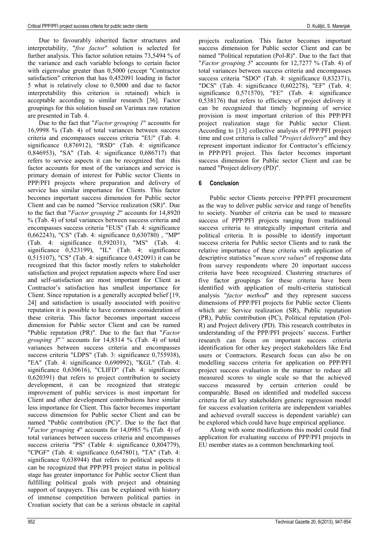Due to favourably inherited factor structures and interpretability, "*five factor*" solution is selected for further analysis. This factor solution retains 73,5494 % of the variance and each variable belongs to certain factor with eigenvalue greater than 0,5000 (except "Contractor satisfaction" criterion that has 0,452091 loading in factor 5 what is relatively close to 0,5000 and due to factor interpretability this criterion is retained) which is acceptable according to similar research [36]. Factor groupings for this solution based on Varimax raw rotation are presented in Tab. 4.

Due to the fact that "*Factor grouping 1*" accounts for 16,9998 % (Tab. 4) of total variances between success criteria and encompasses success criteria "EU" (Tab. 4: significance 0,876912), "RSD" (Tab. 4: significance 0,846953), "SA" (Tab. 4: significance 0,686717) that refers to service aspects it can be recognized that this factor accounts for most of the variances and service is primary domain of interest for Public sector Clients in PPP/PFI projects where preparation and delivery of service has similar importance for Clients. This factor becomes important success dimension for Public sector Client and can be named "Service realization (SR)". Due to the fact that "*Factor grouping 2*" accounts for 14,8920 % (Tab. 4) of total variances between success criteria and encompasses success criteria "EUS" (Tab. 4: significance 0,662243), "CS" (Tab. 4: significance 0,630780) , "MP" (Tab. 4: significance 0,592031), "MS" (Tab. 4: significance 0,523199), "IL" (Tab. 4: significance 0,515107), "CS" (Tab. 4: significance 0,452091) it can be recognized that this factor mostly refers to stakeholder satisfaction and project reputation aspects where End user and self-satisfaction are most important for Client as Contractor's satisfaction has smallest importance for Client. Since reputation is a generally accepted belief [19, 24] and satisfaction is usually associated with positive reputation it is possible to have common consideration of these criteria. This factor becomes important success dimension for Public sector Client and can be named "Public reputation (PR)". Due to the fact that "*Factor grouping 3*"*"* accounts for 14,8314 % (Tab. 4) of total variances between success criteria and encompasses success criteria "LDPS" (Tab. 3: significance 0,755938), "EA" (Tab. 4: significance 0,690992), "KGL" (Tab. 4: significance 0,630616), "CLIFD" (Tab. 4: significance 0,620391) that refers to project contribution to society development, it can be recognized that strategic improvement of public services is most important for Client and other development contributions have similar less importance for Client. This factor becomes important success dimension for Public sector Client and can be named "Public contribution (PC)". Due to the fact that "*Factor grouping 4*" accounts for 14,0985 % (Tab. 4) of total variances between success criteria and encompasses success criteria "PS" (Table 4: significance 0,804779), "CPGF" (Tab. 4: significance 0,647801), "TA" (Tab. 4: significance 0,638944) that refers to political aspects it can be recognized that PPP/PFI project status in political stage has greater importance for Public sector Client than fulfilling political goals with project and obtaining support of taxpayers. This can be explained with history of immense competition between political parties in Croatian society that can be a serious obstacle in capital

projects realization. This factor becomes important success dimension for Public sector Client and can be named "Political reputation (Pol-R)". Due to the fact that "*Factor grouping 5*" accounts for 12,7277 % (Tab. 4) of total variances between success criteria and encompasses success criteria "SDO" (Tab. 4: significance 0,832371), "DCS" (Tab. 4: significance 0,602278), "EF" (Tab. 4: significance 0,571570), "FE" (Tab. 4: significance 0,538176) that refers to efficiency of project delivery it can be recognized that timely beginning of service provision is most important criterion of this PPP/PFI project realization stage for Public sector Client. According to [13] collective analysis of PPP/PFI project time and cost criteria is called "*Project delivery*" and they represent important indicator for Contractor's efficiency in PPP/PFI project. This factor becomes important success dimension for Public sector Client and can be named "Project delivery (PD)".

### **6 Conclusion**

Public sector Clients perceive PPP/PFI procurement as the way to deliver public service and range of benefits to society. Number of criteria can be used to measure success of PPP/PFI projects ranging from traditional success criteria to strategically important criteria and political criteria. It is possible to identify important success criteria for Public sector Clients and to rank the relative importance of these criteria with application of descriptive statistics "*mean score values*" of response data from survey respondents where 20 important success criteria have been recognized. Clustering structures of five factor groupings for these criteria have been identified with application of multi-criteria statistical analysis "*factor method*" and they represent success dimensions of PPP/PFI projects for Public sector Clients which are: Service realization (SR), Public reputation (PR), Public contribution (PC), Political reputation (Pol-R) and Project delivery (PD). This research contributes in understanding of the PPP/PFI projects' success. Further research can focus on important success criteria identification for other key project stakeholders like End users or Contractors. Research focus can also be on modelling success criteria for application on PPP/PFI project success evaluation in the manner to reduce all measured scores to single scale so that the achieved success measured by certain criterion could be comparable. Based on identified and modelled success criteria for all key stakeholders generic regression model for success evaluation (criteria are independent variables and achieved overall success is dependent variable) can be explored which could have huge empirical appliance.

Along with some modifications this model could find application for evaluating success of PPP/PFI projects in EU member states as a common benchmarking tool.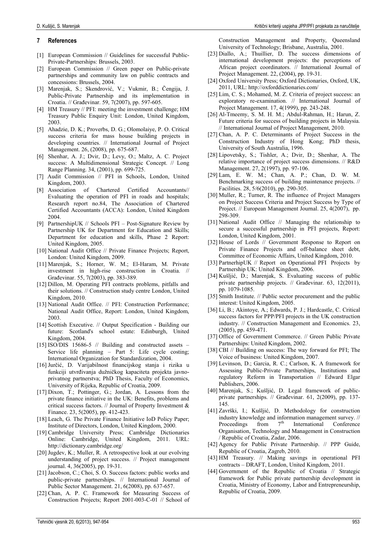#### **7 References**

- [1] European Commission // Guidelines for successful Public-Private-Partnerships: Brussels, 2003.
- [2] European Commission // Green paper on Public-private partnerships and community law on public contracts and concessions: Brussels, 2004.
- [3] Marenjak, S.; Skendrović, V.; Vukmir, B.; Čengija, J. Public-Private Partnership and its implementation in Croatia. // Građevinar. 59, 7(2007), pp. 597-605.
- [4] HM Treasury // PFI: meeting the investment challenge; HM Treasury Public Enquiry Unit: London, United Kingdom, 2003.
- [5] Ahadzie, D. K.; Proverbs, D. G.; Olomolaiye, P. O. Critical success criteria for mass house building projects in developing countries. // International Journal of Project Management. 26, (2008), pp. 675-687.
- [6] Shenhar, A. J.; Dvir, D.; Levy, O.; Maltz, A. C. Project success: A Multidimensional Strategic Concept. // Long Range Planning. 34, (2001), pp. 699-725.
- [7] Audit Commission // PFI in Schools, London, United Kingdom, 2003.
- [8] Association of Chartered Certified Accountants// Evaluating the operation of PFI in roads and hospitals; Research report no.84, The Association of Chartered Certified Accountants (ACCA): London, United Kingdom 2004.
- [9] PartnershipUK // Schools PFI Post-Signature Review by Partnership UK for Department for Education and Skills; Department for education and skills, Phase 2 Report: United Kingdom, 2005.
- [10] National Audit Office // Private Finance Projects; Report, London: United Kingdom, 2009.
- [11] Marenjak, S.; Horner, W. M.; El-Haram, M. Private investment in high-rise construction in Croatia. // Građevinar. 55, 7(2003), pp. 383-389.
- [12] Dillon, M. Operating PFI contracts problems, pitfalls and their solutions. // Construction study centre London, United Kingdom, 2010.
- [13] National Audit Office. // PFI: Construction Performance; National Audit Office, Report: London, United Kingdom, 2003.
- [14] Scottish Executive. // Output Specification Building our future: Scotland's school estate: Edinburgh, United Kingdom, 2004.
- [15] ISO/DIS 15686-5 // Building and constructed assets Service life planning – Part 5: Life cycle costing; International Organization for Standardization, 2004.
- [16] Jurčić, D. Varijabilnost financijskog stanja i rizika u funkciji utvrđivanja dužničkog kapaciteta projekta javnoprivatnog partnerstva; PhD Thesis, Faculty of Economics, University of Rijeka, Republic of Croatia, 2009.
- [17] Dixon, T.; Pottinger, G.; Jordan, A. Lessons from the private finance initiative in the UK: Benefits, problems and critical success factors. // Journal of Property Investment & Finance. 23, 5(2005), pp. 412-423.
- [18] Leach, G. The Private Finance Initiative IoD Policy Paper; Institute of Directors, London, United Kingdom, 2000.
- [19] Cambridge University Press; Cambridge Dictionaries Online: Cambridge, United Kingdom, 2011. URL: http://dictionary.cambridge.org/
- [20] Jugdev, K.; Muller, R. A retrospective look at our evolving understanding of project success. // Project management journal. 4, 36(2005), pp. 19-31.
- [21] Jacobson, C.; Choi, S. O. Success factors: public works and public-private partnerships. // International Journal of Public Sector Management. 21, 6(2008), pp. 637-657.
- [22] Chan, A. P. C. Framework for Measuring Success of Construction Projects; Report 2001-003-C-01 // School of

Construction Management and Property, Queensland University of Technology; Brisbane, Australia, 2001.

- [23] Diallo, A.; Thuillier, D. The success dimensions of international development projects: the perceptions of African project coordinators. // International Journal of Project Management. 22, (2004), pp. 19-31.
- [24] Oxford University Press; Oxford Dictionaries, Oxford, UK, 2011, URL: http://oxforddictionaries.com/
- [25] Lim, C. S.; Mohamed, M. Z. Criteria of project success: an exploratory re-examination. // International Journal of Project Management. 17, 4(1999), pp. 243-248.
- [26] Al-Tmeemy, S. M. H. M.; Abdul-Rahman, H.; Harun, Z. Future criteria for success of building projects in Malaysia. // International Journal of Project Management, 2010.
- [27] Chan, A. P. C. Determinants of Project Success in the Construction Industry of Hong Kong; PhD thesis, University of South Australia, 1996.
- [28] Lipovetsky, S.; Tishler, A.; Dvir, D.; Shenhar, A. The relative importance of project success dimensions. // R&D Management. 27, 2(1997), pp. 97-106.
- [29] Lam, E. W. M.; Chan, A. P.; Chan, D. W. M. Benchmarking success of building maintenance projects. // Facilities. 28, 5/6(2010), pp. 290-305.
- [30] Muller, R.; Turner, R. The influence of Project Managers on Project Success Criteria and Project Success by Type of Project. // European Management Journal. 25, 4(2007), pp. 298-309.
- [31] National Audit Office // Managing the relationship to secure a successful partnership in PFI projects, Report: London, United Kingdom, 2001.
- [32] House of Lords // Government Response to Report on Private Finance Projects and off-balance sheet debt, Committee of Economic Affairs, United Kingdom, 2010.
- [33] PartnerhipUK // Report on Operational PFI Projects by Partnership UK: United Kingdom, 2006.
- [34] Kušljić, D.; Marenjak, S. Evaluating success of public private partnership projects. // Građevinar. 63, 12(2011), pp. 1079-1085.
- [35] Smith Institute. // Public sector procurement and the public interest: United Kingdom, 2005.
- [36] Li, B.; Akintoye, A.; Edwards, P. J.; Hardcastle, C. Critical success factors for PPP/PFI projects in the UK construction industry. // Construction Management and Economics. 23, (2005), pp. 459-471.
- [37] Office of Government Commerce. // Green Public Private Partnerships: United Kingdom, 2002.
- [38] CBI // Building on success: The way forward for PFI; The Voice of business: United Kingdom, 2007.
- [39] Levinson, D.; Garcia, R. C.; Carlson, K. A framework for Assessing Public-Private Partnerships, Institutions and regulatory Reform in Transportation // Edward Elgar Publishers, 2006.
- [40] Marenjak, S.; Kušljić, D. Legal framework of publicprivate partnerships. // Građevinar. 61, 2(2009), pp. 137- 145.
- [41] Završki, I.; Kušljić, D. Methodology for construction industry knowledge and information management survey. //<br>Proceedings from  $7<sup>th</sup>$  International Conference Proceedings from  $7<sup>th</sup>$  International Conference Organisation, Technology and Management in Construction / Republic of Croatia, Zadar, 2006.
- [42] Agency for Public Private Partnership. // PPP Guide, Republic of Croatia, Zagreb, 2010.
- [43] HM Treasury. // Making savings in operational PFI contracts – DRAFT, London, United Kingdom, 2011.
- [44] Government of the Republic of Croatia // Strategic framework for Public private partnership development in Croatia, Ministry of Economy, Labor and Entrepreneurship, Republic of Croatia, 2009.